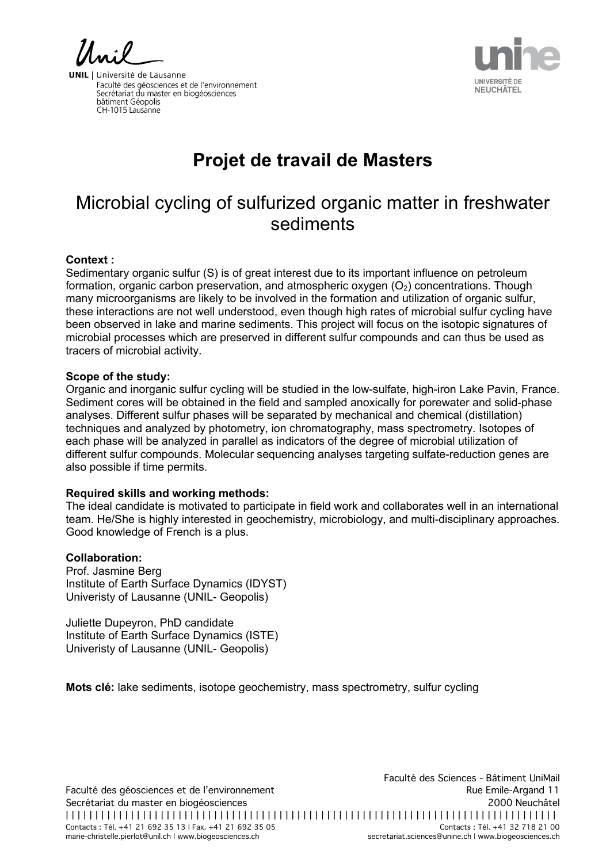UNIVERSITÉ DE **NEUCHÂTEL** 

**UNIL** | Université de Lausanne Faculté des géosciences et de l'environnement Facalle des géosciences et de l'environne<br>Secrétariat du master en biogéosciences bâtiment Géopolis CH-1015 Lausanne

# **Projet de travail de Masters**

## Microbial cycling of sulfurized organic matter in freshwater sediments

#### **Context :**

Sedimentary organic sulfur (S) is of great interest due to its important influence on petroleum formation, organic carbon preservation, and atmospheric oxygen  $(O<sub>2</sub>)$  concentrations. Though many microorganisms are likely to be involved in the formation and utilization of organic sulfur, these interactions are not well understood, even though high rates of microbial sulfur cycling have been observed in lake and marine sediments. This project will focus on the isotopic signatures of microbial processes which are preserved in different sulfur compounds and can thus be used as tracers of microbial activity.

#### **Scope of the study:**

Organic and inorganic sulfur cycling will be studied in the low-sulfate, high-iron Lake Pavin, France. Sediment cores will be obtained in the field and sampled anoxically for porewater and solid-phase analyses. Different sulfur phases will be separated by mechanical and chemical (distillation) techniques and analyzed by photometry, ion chromatography, mass spectrometry. Isotopes of each phase will be analyzed in parallel as indicators of the degree of microbial utilization of different sulfur compounds. Molecular sequencing analyses targeting sulfate-reduction genes are also possible if time permits.

### **Required skills and working methods:**

The ideal candidate is motivated to participate in field work and collaborates well in an international team. He/She is highly interested in geochemistry, microbiology, and multi-disciplinary approaches. Good knowledge of French is a plus.

#### **Collaboration:**

Prof. Jasmine Berg Institute of Earth Surface Dynamics (IDYST) Univeristy of Lausanne (UNIL- Geopolis)

Juliette Dupeyron, PhD candidate Institute of Earth Surface Dynamics (ISTE) Univeristy of Lausanne (UNIL- Geopolis)

**Mots clé:** lake sediments, isotope geochemistry, mass spectrometry, sulfur cycling